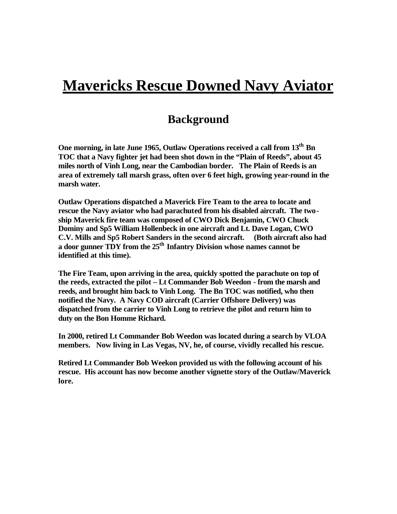## **Mavericks Rescue Downed Navy Aviator**

## **Background**

**One morning, in late June 1965, Outlaw Operations received a call from 13th Bn TOC that a Navy fighter jet had been shot down in the "Plain of Reeds", about 45 miles north of Vinh Long, near the Cambodian border. The Plain of Reeds is an area of extremely tall marsh grass, often over 6 feet high, growing year-round in the marsh water.** 

**Outlaw Operations dispatched a Maverick Fire Team to the area to locate and rescue the Navy aviator who had parachuted from his disabled aircraft. The twoship Maverick fire team was composed of CWO Dick Benjamin, CWO Chuck Dominy and Sp5 William Hollenbeck in one aircraft and Lt. Dave Logan, CWO C.V. Mills and Sp5 Robert Sanders in the second aircraft. (Both aircraft also had a door gunner TDY from the 25th Infantry Division whose names cannot be identified at this time).** 

**The Fire Team, upon arriving in the area, quickly spotted the parachute on top of the reeds, extracted the pilot – Lt Commander Bob Weedon - from the marsh and reeds, and brought him back to Vinh Long. The Bn TOC was notified, who then notified the Navy. A Navy COD aircraft (Carrier Offshore Delivery) was dispatched from the carrier to Vinh Long to retrieve the pilot and return him to duty on the Bon Homme Richard.**

**In 2000, retired Lt Commander Bob Weedon was located during a search by VLOA members. Now living in Las Vegas, NV, he, of course, vividly recalled his rescue.** 

**Retired Lt Commander Bob Weekon provided us with the following account of his rescue. His account has now become another vignette story of the Outlaw/Maverick lore.**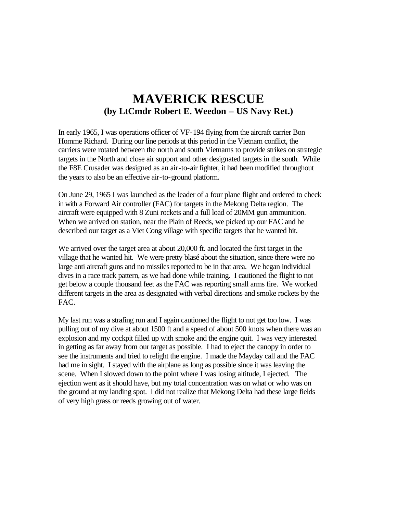## **MAVERICK RESCUE (by LtCmdr Robert E. Weedon – US Navy Ret.)**

In early 1965, I was operations officer of VF-194 flying from the aircraft carrier Bon Homme Richard. During our line periods at this period in the Vietnam conflict, the carriers were rotated between the north and south Vietnams to provide strikes on strategic targets in the North and close air support and other designated targets in the south. While the F8E Crusader was designed as an air-to-air fighter, it had been modified throughout the years to also be an effective air-to-ground platform.

On June 29, 1965 I was launched as the leader of a four plane flight and ordered to check in with a Forward Air controller (FAC) for targets in the Mekong Delta region. The aircraft were equipped with 8 Zuni rockets and a full load of 20MM gun ammunition. When we arrived on station, near the Plain of Reeds, we picked up our FAC and he described our target as a Viet Cong village with specific targets that he wanted hit.

We arrived over the target area at about 20,000 ft. and located the first target in the village that he wanted hit. We were pretty blasé about the situation, since there were no large anti aircraft guns and no missiles reported to be in that area. We began individual dives in a race track pattern, as we had done while training. I cautioned the flight to not get below a couple thousand feet as the FAC was reporting small arms fire. We worked different targets in the area as designated with verbal directions and smoke rockets by the FAC.

My last run was a strafing run and I again cautioned the flight to not get too low. I was pulling out of my dive at about 1500 ft and a speed of about 500 knots when there was an explosion and my cockpit filled up with smoke and the engine quit. I was very interested in getting as far away from our target as possible. I had to eject the canopy in order to see the instruments and tried to relight the engine. I made the Mayday call and the FAC had me in sight. I stayed with the airplane as long as possible since it was leaving the scene. When I slowed down to the point where I was losing altitude, I ejected. The ejection went as it should have, but my total concentration was on what or who was on the ground at my landing spot. I did not realize that Mekong Delta had these large fields of very high grass or reeds growing out of water.